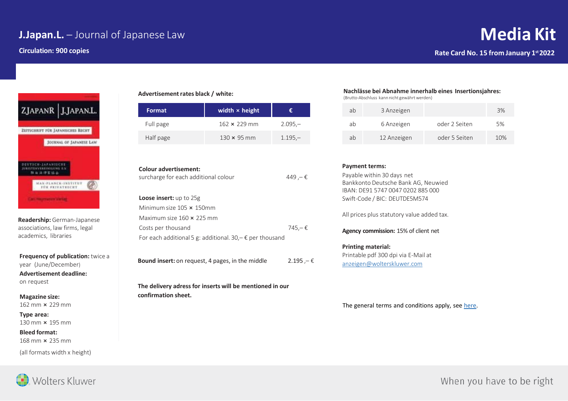# **J.Japan.L.** – Journal of Japanese Law

**Circulation: 900 copies**



**Readership:** German-Japanese associations, law firms, legal academics, libraries

**Frequency of publication:** twice a year (June/December) **Advertisement deadline:**  on request

**Magazine size:**  162 mm ⨯ 229 mm

**Type area:**  130 mm ⨯ 195 mm

**Bleed format:** 

168 mm ⨯ 235 mm

(all formats width x height)

**Advertisement rates black / white:**

| <b>Format</b> | width $\times$ height | æ         |
|---------------|-----------------------|-----------|
| Full page     | $162 \times 229$ mm   | $2.095 -$ |
| Half page     | 130 $\times$ 95 mm    | $1.195 -$ |

| Colour advertisement:<br>surcharge for each additional colour     | 449 ,− €         |
|-------------------------------------------------------------------|------------------|
| <b>Loose insert:</b> up to 25g                                    |                  |
| Minimum size 105 x 150mm                                          |                  |
| Maximum size $160 \times 225$ mm                                  |                  |
| Costs per thousand                                                | $745 - \epsilon$ |
| For each additional 5 g: additional. $30 - \epsilon$ per thousand |                  |
|                                                                   |                  |

**Bound insert:** on request, 4 pages, in the middle 2.195 , − €

**The delivery adress for inserts will be mentioned in our confirmation sheet.**

#### **Nachlässe bei Abnahme innerhalb eines Insertionsjahres:**

(Brutto-Abschluss kann nicht gewährt werden)

| ab | 3 Anzeigen  |               | 3%  |
|----|-------------|---------------|-----|
| аh | 6 Anzeigen  | oder 2 Seiten | 5%  |
| ab | 12 Anzeigen | oder 5 Seiten | 10% |

### **Payment terms:**

Payable within 30 days net Bankkonto Deutsche Bank AG, Neuwied IBAN: DE91 5747 0047 0202 885 000 Swift-Code / BIC: DEUTDE5M574

All prices plus statutory value added tax.

**Agency commission:** 15% of client net

## **Printing material:**

Printable pdf 300 dpi via E-Mail at [anzeigen@wolterskluwer.com](mailto:anzeigen@wolterskluwer.com)

The general terms and conditions apply, see [here.](https://www.wolterskluwer.com/de-de/solutions/de/mediadaten)



When you have to be right